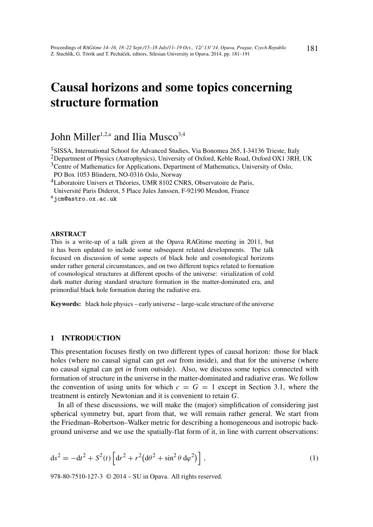# Causal horizons and some topics concerning structure formation

## John Miller<sup>1,2,a</sup> and Ilia Musco<sup>3,4</sup>

<sup>1</sup>SISSA, International School for Advanced Studies, Via Bonomea 265, I-34136 Trieste, Italy

<sup>2</sup>Department of Physics (Astrophysics), University of Oxford, Keble Road, Oxford OX1 3RH, UK

<sup>3</sup>Centre of Mathematics for Applications, Department of Mathematics, University of Oslo, PO Box 1053 Blindern, NO-0316 Oslo, Norway

<sup>4</sup>Laboratoire Univers et Théories, UMR 8102 CNRS, Observatoire de Paris,

Université Paris Diderot, 5 Place Jules Janssen, F-92190 Meudon, France

a<sub>j</sub>cm@astro.ox.ac.uk

#### **ABSTRACT**

This is a write-up of a talk given at the Opava RAGtime meeting in 2011, but it has been updated to include some subsequent related developments. The talk focused on discussion of some aspects of black hole and cosmological horizons under rather general circumstances, and on two different topics related to formation of cosmological structures at different epochs of the universe: virialization of cold dark matter during standard structure formation in the matter-dominated era, and primordial black hole formation during the radiative era.

Keywords: black hole physics – early universe – large-scale structure of the universe

### 1 INTRODUCTION

This presentation focuses firstly on two different types of causal horizon: those for black holes (where no causal signal can get *out* from inside), and that for the universe (where no causal signal can get *in* from outside). Also, we discuss some topics connected with formation of structure in the universe in the matter-dominated and radiative eras. We follow the convention of using units for which  $c = G = 1$  except in Section 3.1, where the treatment is entirely Newtonian and it is convenient to retain *G*.

In all of these discussions, we will make the (major) simplification of considering just spherical symmetry but, apart from that, we will remain rather general. We start from the Friedman–Robertson–Walker metric for describing a homogeneous and isotropic background universe and we use the spatially-flat form of it, in line with current observations:

$$
ds^{2} = -dt^{2} + S^{2}(t) \left[ dr^{2} + r^{2} (d\theta^{2} + \sin^{2} \theta d\varphi^{2}) \right],
$$
\n(1)

978-80-7510-127-3 © 2014 – SU in Opava. All rights reserved.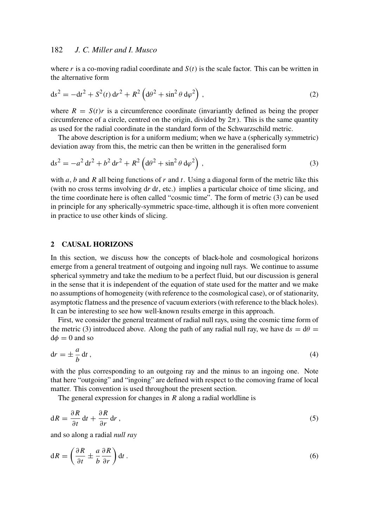where  $r$  is a co-moving radial coordinate and  $S(t)$  is the scale factor. This can be written in the alternative form

$$
ds^{2} = -dt^{2} + S^{2}(t) dr^{2} + R^{2} \left( d\theta^{2} + \sin^{2} \theta d\varphi^{2} \right),
$$
 (2)

where  $R = S(t)r$  is a circumference coordinate (invariantly defined as being the proper circumference of a circle, centred on the origin, divided by  $2\pi$ ). This is the same quantity as used for the radial coordinate in the standard form of the Schwarzschild metric.

The above description is for a uniform medium; when we have a (spherically symmetric) deviation away from this, the metric can then be written in the generalised form

$$
ds^{2} = -a^{2} dt^{2} + b^{2} dr^{2} + R^{2} (d\theta^{2} + \sin^{2} \theta d\varphi^{2}),
$$
\n(3)

with *a*, *b* and *R* all being functions of *r* and *t*. Using a diagonal form of the metric like this (with no cross terms involving d*r* d*t*, etc.) implies a particular choice of time slicing, and the time coordinate here is often called "cosmic time". The form of metric (3) can be used in principle for any spherically-symmetric space-time, although it is often more convenient in practice to use other kinds of slicing.

#### 2 CAUSAL HORIZONS

In this section, we discuss how the concepts of black-hole and cosmological horizons emerge from a general treatment of outgoing and ingoing null rays. We continue to assume spherical symmetry and take the medium to be a perfect fluid, but our discussion is general in the sense that it is independent of the equation of state used for the matter and we make no assumptions of homogeneity (with reference to the cosmological case), or of stationarity, asymptotic flatness and the presence of vacuum exteriors (with reference to the black holes). It can be interesting to see how well-known results emerge in this approach.

First, we consider the general treatment of radial null rays, using the cosmic time form of the metric (3) introduced above. Along the path of any radial null ray, we have  $ds = d\theta =$  $d\phi = 0$  and so

$$
\mathrm{d}r = \pm \frac{a}{b} \,\mathrm{d}t \,,\tag{4}
$$

with the plus corresponding to an outgoing ray and the minus to an ingoing one. Note that here "outgoing" and "ingoing" are defined with respect to the comoving frame of local matter. This convention is used throughout the present section.

The general expression for changes in *R* along a radial worldline is

$$
dR = \frac{\partial R}{\partial t} dt + \frac{\partial R}{\partial r} dr,
$$
\n(5)

and so along a radial *null ray*

$$
dR = \left(\frac{\partial R}{\partial t} \pm \frac{a}{b} \frac{\partial R}{\partial r}\right) dt.
$$
 (6)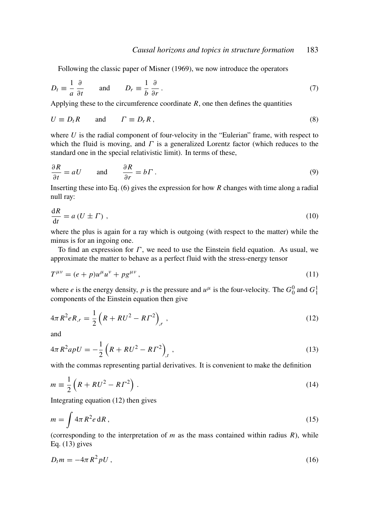Following the classic paper of Misner (1969), we now introduce the operators

$$
D_t \equiv \frac{1}{a} \frac{\partial}{\partial t} \quad \text{and} \quad D_r \equiv \frac{1}{b} \frac{\partial}{\partial r} \,. \tag{7}
$$

Applying these to the circumference coordinate  $R$ , one then defines the quantities

$$
U \equiv D_t R \qquad \text{and} \qquad \Gamma \equiv D_r R \,, \tag{8}
$$

where *U* is the radial component of four-velocity in the "Eulerian" frame, with respect to which the fluid is moving, and  $\Gamma$  is a generalized Lorentz factor (which reduces to the standard one in the special relativistic limit). In terms of these,

$$
\frac{\partial R}{\partial t} = aU \quad \text{and} \quad \frac{\partial R}{\partial r} = b\Gamma \,. \tag{9}
$$

Inserting these into Eq. (6) gives the expression for how *R* changes with time along a radial null ray:

$$
\frac{\mathrm{d}R}{\mathrm{d}t} = a\left(U \pm \Gamma\right) \,,\tag{10}
$$

where the plus is again for a ray which is outgoing (with respect to the matter) while the minus is for an ingoing one.

To find an expression for  $\Gamma$ , we need to use the Einstein field equation. As usual, we approximate the matter to behave as a perfect fluid with the stress-energy tensor

$$
T^{\mu\nu} = (e+p)u^{\mu}u^{\nu} + pg^{\mu\nu}, \qquad (11)
$$

where *e* is the energy density, *p* is the pressure and  $u^{\mu}$  is the four-velocity. The  $G_0^0$  and  $G_1^1$ components of the Einstein equation then give

$$
4\pi R^2 e R_{,r} = \frac{1}{2} \left( R + R U^2 - R \Gamma^2 \right)_{,r}, \qquad (12)
$$

and

$$
4\pi R^2 apU = -\frac{1}{2} \left( R + RU^2 - R\Gamma^2 \right)_{,t} , \qquad (13)
$$

with the commas representing partial derivatives. It is convenient to make the definition

$$
m \equiv \frac{1}{2} \left( R + R U^2 - R \Gamma^2 \right) . \tag{14}
$$

Integrating equation (12) then gives

$$
m = \int 4\pi R^2 e \, dR \,,\tag{15}
$$

(corresponding to the interpretation of  $m$  as the mass contained within radius  $R$ ), while Eq.  $(13)$  gives

$$
D_t m = -4\pi R^2 p U, \qquad (16)
$$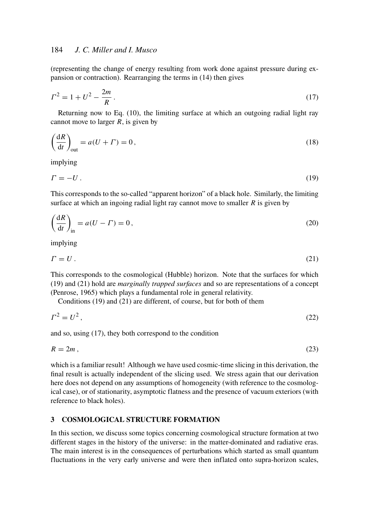(representing the change of energy resulting from work done against pressure during expansion or contraction). Rearranging the terms in (14) then gives

$$
\Gamma^2 = 1 + U^2 - \frac{2m}{R} \,. \tag{17}
$$

Returning now to Eq. (10), the limiting surface at which an outgoing radial light ray cannot move to larger *R*, is given by

$$
\left(\frac{dR}{dt}\right)_{\text{out}} = a(U + \Gamma) = 0,\tag{18}
$$

implying

$$
\Gamma = -U \,. \tag{19}
$$

This corresponds to the so-called "apparent horizon" of a black hole. Similarly, the limiting surface at which an ingoing radial light ray cannot move to smaller *R* is given by

$$
\left(\frac{dR}{dt}\right)_{in} = a(U - \Gamma) = 0,
$$
\n(20)

implying

$$
\Gamma = U. \tag{21}
$$

This corresponds to the cosmological (Hubble) horizon. Note that the surfaces for which (19) and (21) hold are *marginally trapped surfaces* and so are representations of a concept (Penrose, 1965) which plays a fundamental role in general relativity.

Conditions (19) and (21) are different, of course, but for both of them

$$
\Gamma^2 = U^2,\tag{22}
$$

and so, using (17), they both correspond to the condition

$$
R = 2m \tag{23}
$$

which is a familiar result! Although we have used cosmic-time slicing in this derivation, the final result is actually independent of the slicing used. We stress again that our derivation here does not depend on any assumptions of homogeneity (with reference to the cosmological case), or of stationarity, asymptotic flatness and the presence of vacuum exteriors (with reference to black holes).

## 3 COSMOLOGICAL STRUCTURE FORMATION

In this section, we discuss some topics concerning cosmological structure formation at two different stages in the history of the universe: in the matter-dominated and radiative eras. The main interest is in the consequences of perturbations which started as small quantum fluctuations in the very early universe and were then inflated onto supra-horizon scales,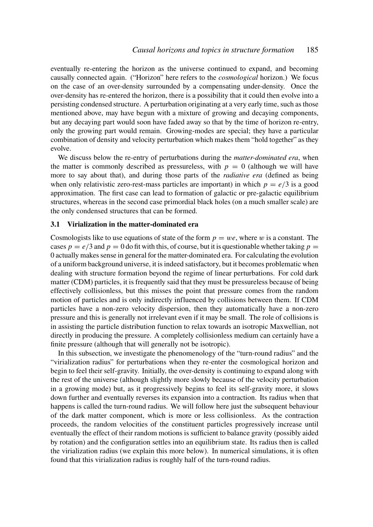eventually re-entering the horizon as the universe continued to expand, and becoming causally connected again. ("Horizon" here refers to the *cosmological* horizon.) We focus on the case of an over-density surrounded by a compensating under-density. Once the over-density has re-entered the horizon, there is a possibility that it could then evolve into a persisting condensed structure. A perturbation originating at a very early time, such as those mentioned above, may have begun with a mixture of growing and decaying components, but any decaying part would soon have faded away so that by the time of horizon re-entry, only the growing part would remain. Growing-modes are special; they have a particular combination of density and velocity perturbation which makes them "hold together" as they evolve.

We discuss below the re-entry of perturbations during the *matter-dominated era*, when the matter is commonly described as pressureless, with  $p = 0$  (although we will have more to say about that), and during those parts of the *radiative era* (defined as being when only relativistic zero-rest-mass particles are important) in which  $p = e/3$  is a good approximation. The first case can lead to formation of galactic or pre-galactic equilibrium structures, whereas in the second case primordial black holes (on a much smaller scale) are the only condensed structures that can be formed.

#### 3.1 Virialization in the matter-dominated era

Cosmologists like to use equations of state of the form  $p = we$ , where w is a constant. The cases  $p = e/3$  and  $p = 0$  do fit with this, of course, but it is questionable whether taking  $p =$ 0 actually makes sense in general for the matter-dominated era. For calculating the evolution of a uniform background universe, it is indeed satisfactory, but it becomes problematic when dealing with structure formation beyond the regime of linear perturbations. For cold dark matter (CDM) particles, it is frequently said that they must be pressureless because of being effectively collisionless, but this misses the point that pressure comes from the random motion of particles and is only indirectly influenced by collisions between them. If CDM particles have a non-zero velocity dispersion, then they automatically have a non-zero pressure and this is generally not irrelevant even if it may be small. The role of collisions is in assisting the particle distribution function to relax towards an isotropic Maxwellian, not directly in producing the pressure. A completely collisionless medium can certainly have a finite pressure (although that will generally not be isotropic).

In this subsection, we investigate the phenomenology of the "turn-round radius" and the "virialization radius" for perturbations when they re-enter the cosmological horizon and begin to feel their self-gravity. Initially, the over-density is continuing to expand along with the rest of the universe (although slightly more slowly because of the velocity perturbation in a growing mode) but, as it progressively begins to feel its self-gravity more, it slows down further and eventually reverses its expansion into a contraction. Its radius when that happens is called the turn-round radius. We will follow here just the subsequent behaviour of the dark matter component, which is more or less collisionless. As the contraction proceeds, the random velocities of the constituent particles progressively increase until eventually the effect of their random motions is sufficient to balance gravity (possibly aided by rotation) and the configuration settles into an equilibrium state. Its radius then is called the virialization radius (we explain this more below). In numerical simulations, it is often found that this virialization radius is roughly half of the turn-round radius.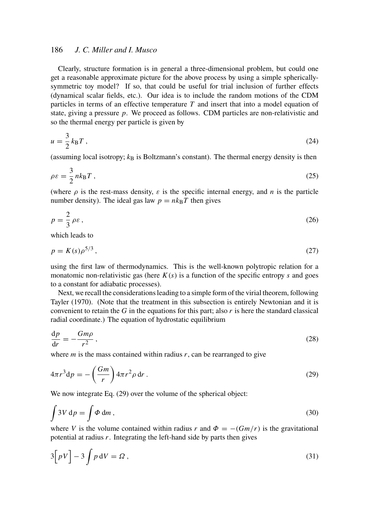Clearly, structure formation is in general a three-dimensional problem, but could one get a reasonable approximate picture for the above process by using a simple sphericallysymmetric toy model? If so, that could be useful for trial inclusion of further effects (dynamical scalar fields, etc.). Our idea is to include the random motions of the CDM particles in terms of an effective temperature *T* and insert that into a model equation of state, giving a pressure *p*. We proceed as follows. CDM particles are non-relativistic and so the thermal energy per particle is given by

$$
u = \frac{3}{2}k_{\text{B}}T\,,\tag{24}
$$

(assuming local isotropy;  $k_B$  is Boltzmann's constant). The thermal energy density is then

$$
\rho \varepsilon = \frac{3}{2} n k_{\rm B} T \,, \tag{25}
$$

(where  $\rho$  is the rest-mass density,  $\varepsilon$  is the specific internal energy, and *n* is the particle number density). The ideal gas law  $p = nk_BT$  then gives

$$
p = \frac{2}{3} \rho \varepsilon \,,\tag{26}
$$

which leads to

$$
p = K(s)\rho^{5/3},\tag{27}
$$

using the first law of thermodynamics. This is the well-known polytropic relation for a monatomic non-relativistic gas (here  $K(s)$  is a function of the specific entropy *s* and goes to a constant for adiabatic processes).

Next, we recall the considerations leading to a simple form of the virial theorem, following Tayler (1970). (Note that the treatment in this subsection is entirely Newtonian and it is convenient to retain the  $G$  in the equations for this part; also  $r$  is here the standard classical radial coordinate.) The equation of hydrostatic equilibrium

$$
\frac{\mathrm{d}p}{\mathrm{d}r} = -\frac{Gm\rho}{r^2},\tag{28}
$$

where  $m$  is the mass contained within radius  $r$ , can be rearranged to give

$$
4\pi r^3 \mathrm{d}p = -\left(\frac{Gm}{r}\right) 4\pi r^2 \rho \,\mathrm{d}r \,. \tag{29}
$$

We now integrate Eq. (29) over the volume of the spherical object:

$$
\int 3V \, \mathrm{d}p = \int \Phi \, \mathrm{d}m \,,\tag{30}
$$

where *V* is the volume contained within radius *r* and  $\Phi = -(Gm/r)$  is the gravitational potential at radius *r*. Integrating the left-hand side by parts then gives

$$
3[pV] - 3\int p \,dV = \Omega\,,\tag{31}
$$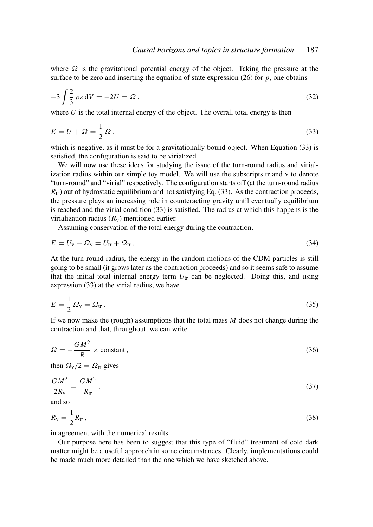where  $\Omega$  is the gravitational potential energy of the object. Taking the pressure at the surface to be zero and inserting the equation of state expression  $(26)$  for *p*, one obtains

$$
-3\int \frac{2}{3} \rho \varepsilon \,dV = -2U = \Omega \,,\tag{32}
$$

where  $U$  is the total internal energy of the object. The overall total energy is then

$$
E = U + \Omega = \frac{1}{2}\Omega, \qquad (33)
$$

which is negative, as it must be for a gravitationally-bound object. When Equation (33) is satisfied, the configuration is said to be virialized.

We will now use these ideas for studying the issue of the turn-round radius and virialization radius within our simple toy model. We will use the subscripts tr and v to denote "turn-round" and "virial" respectively. The configuration starts off (at the turn-round radius  $R_{\text{tr}}$ ) out of hydrostatic equilibrium and not satisfying Eq. (33). As the contraction proceeds, the pressure plays an increasing role in counteracting gravity until eventually equilibrium is reached and the virial condition (33) is satisfied. The radius at which this happens is the virialization radius  $(R_v)$  mentioned earlier.

Assuming conservation of the total energy during the contraction,

$$
E = U_{\rm v} + \Omega_{\rm v} = U_{\rm tr} + \Omega_{\rm tr} \,. \tag{34}
$$

At the turn-round radius, the energy in the random motions of the CDM particles is still going to be small (it grows later as the contraction proceeds) and so it seems safe to assume that the initial total internal energy term  $U_{tr}$  can be neglected. Doing this, and using expression (33) at the virial radius, we have

$$
E = \frac{1}{2} \Omega_{\rm v} = \Omega_{\rm tr} \,. \tag{35}
$$

If we now make the (rough) assumptions that the total mass *M* does not change during the contraction and that, throughout, we can write

$$
\Omega = -\frac{GM^2}{R} \times \text{constant},\tag{36}
$$

then  $\Omega_{\rm v}/2 = \Omega_{\rm tr}$  gives

$$
\frac{GM^2}{2R_{\rm v}} = \frac{GM^2}{R_{\rm tr}}\,,\tag{37}
$$

and so

$$
R_{\rm v} = \frac{1}{2} R_{\rm tr} \,,\tag{38}
$$

in agreement with the numerical results.

Our purpose here has been to suggest that this type of "fluid" treatment of cold dark matter might be a useful approach in some circumstances. Clearly, implementations could be made much more detailed than the one which we have sketched above.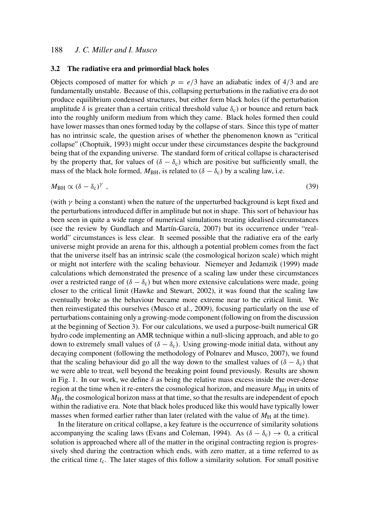#### 3.2 The radiative era and primordial black holes

Objects composed of matter for which  $p = e/3$  have an adiabatic index of 4/3 and are fundamentally unstable. Because of this, collapsing perturbations in the radiative era do not produce equilibrium condensed structures, but either form black holes (if the perturbation amplitude  $\delta$  is greater than a certain critical threshold value  $\delta_c$ ) or bounce and return back into the roughly uniform medium from which they came. Black holes formed then could have lower masses than ones formed today by the collapse of stars. Since this type of matter has no intrinsic scale, the question arises of whether the phenomenon known as "critical collapse" (Choptuik, 1993) might occur under these circumstances despite the background being that of the expanding universe. The standard form of critical collapse is characterised by the property that, for values of  $(\delta - \delta_c)$  which are positive but sufficiently small, the mass of the black hole formed,  $M_{BH}$ , is related to ( $\delta - \delta_c$ ) by a scaling law, i.e.

$$
M_{\rm BH} \propto (\delta - \delta_{\rm c})^{\gamma} \tag{39}
$$

(with  $\gamma$  being a constant) when the nature of the unperturbed background is kept fixed and the perturbations introduced differ in amplitude but not in shape. This sort of behaviour has been seen in quite a wide range of numerical simulations treating idealised circumstances (see the review by Gundlach and Martín-García, 2007) but its occurrence under "realworld" circumstances is less clear. It seemed possible that the radiative era of the early universe might provide an arena for this, although a potential problem comes from the fact that the universe itself has an intrinsic scale (the cosmological horizon scale) which might or might not interfere with the scaling behaviour. Niemeyer and Jedamzik (1999) made calculations which demonstrated the presence of a scaling law under these circumstances over a restricted range of  $(\delta - \delta_c)$  but when more extensive calculations were made, going closer to the critical limit (Hawke and Stewart, 2002), it was found that the scaling law eventually broke as the behaviour became more extreme near to the critical limit. We then reinvestigated this ourselves (Musco et al., 2009), focusing particularly on the use of perturbations containing only a growing-mode component (following on from the discussion at the beginning of Section 3). For our calculations, we used a purpose-built numerical GR hydro code implementing an AMR technique within a null-slicing approach, and able to go down to extremely small values of  $(\delta - \delta_c)$ . Using growing-mode initial data, without any decaying component (following the methodology of Polnarev and Musco, 2007), we found that the scaling behaviour did go all the way down to the smallest values of  $(\delta - \delta_c)$  that we were able to treat, well beyond the breaking point found previously. Results are shown in Fig. 1. In our work, we define  $\delta$  as being the relative mass excess inside the over-dense region at the time when it re-enters the cosmological horizon, and measure  $M_{\rm BH}$  in units of  $M_H$ , the cosmological horizon mass at that time, so that the results are independent of epoch within the radiative era. Note that black holes produced like this would have typically lower masses when formed earlier rather than later (related with the value of  $M_H$  at the time).

In the literature on critical collapse, a key feature is the occurrence of similarity solutions accompanying the scaling laws (Evans and Coleman, 1994). As  $(\delta - \delta_c) \rightarrow 0$ , a critical solution is approached where all of the matter in the original contracting region is progressively shed during the contraction which ends, with zero matter, at a time referred to as the critical time  $t_c$ . The later stages of this follow a similarity solution. For small positive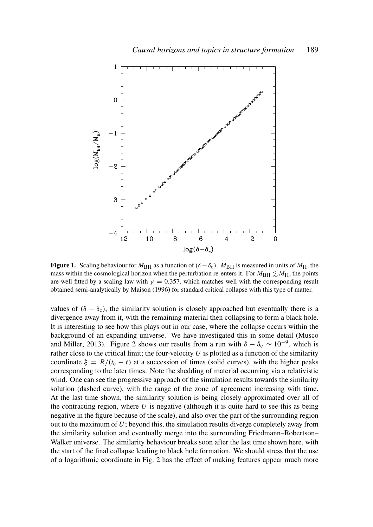

**Figure 1.** Scaling behaviour for  $M_{\text{BH}}$  as a function of ( $\delta - \delta_c$ ).  $M_{\text{BH}}$  is measured in units of  $M_{\text{H}}$ , the mass within the cosmological horizon when the perturbation re-enters it. For  $M_{\rm BH} \lesssim M_{\rm H}$ , the points are well fitted by a scaling law with  $\gamma = 0.357$ , which matches well with the corresponding result obtained semi-analytically by Maison (1996) for standard critical collapse with this type of matter.

values of  $(\delta - \delta_c)$ , the similarity solution is closely approached but eventually there is a divergence away from it, with the remaining material then collapsing to form a black hole. It is interesting to see how this plays out in our case, where the collapse occurs within the background of an expanding universe. We have investigated this in some detail (Musco and Miller, 2013). Figure 2 shows our results from a run with  $\delta - \delta_c \sim 10^{-9}$ , which is rather close to the critical limit; the four-velocity  $U$  is plotted as a function of the similarity coordinate  $\xi = R/(t_c - t)$  at a succession of times (solid curves), with the higher peaks corresponding to the later times. Note the shedding of material occurring via a relativistic wind. One can see the progressive approach of the simulation results towards the similarity solution (dashed curve), with the range of the zone of agreement increasing with time. At the last time shown, the similarity solution is being closely approximated over all of the contracting region, where  $U$  is negative (although it is quite hard to see this as being negative in the figure because of the scale), and also over the part of the surrounding region out to the maximum of *U*; beyond this, the simulation results diverge completely away from the similarity solution and eventually merge into the surrounding Friedmann–Robertson– Walker universe. The similarity behaviour breaks soon after the last time shown here, with the start of the final collapse leading to black hole formation. We should stress that the use of a logarithmic coordinate in Fig. 2 has the effect of making features appear much more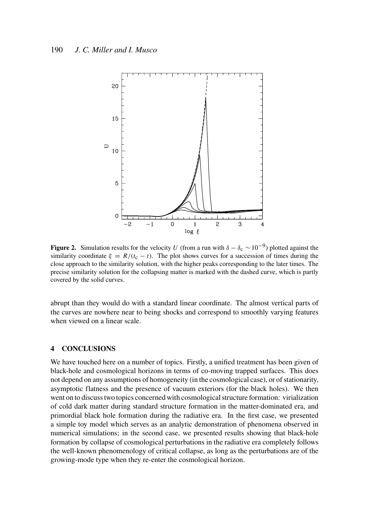

**Figure 2.** Simulation results for the velocity *U* (from a run with  $\delta - \delta_c \sim 10^{-9}$ ) plotted against the similarity coordinate  $\xi = R/(t_c - t)$ . The plot shows curves for a succession of times during the close approach to the similarity solution, with the higher peaks corresponding to the later times. The precise similarity solution for the collapsing matter is marked with the dashed curve, which is partly covered by the solid curves.

abrupt than they would do with a standard linear coordinate. The almost vertical parts of the curves are nowhere near to being shocks and correspond to smoothly varying features when viewed on a linear scale.

## 4 CONCLUSIONS

We have touched here on a number of topics. Firstly, a unified treatment has been given of black-hole and cosmological horizons in terms of co-moving trapped surfaces. This does not depend on any assumptions of homogeneity (in the cosmological case), or of stationarity, asymptotic flatness and the presence of vacuum exteriors (for the black holes). We then went on to discuss two topics concerned with cosmological structure formation: virialization of cold dark matter during standard structure formation in the matter-dominated era, and primordial black hole formation during the radiative era. In the first case, we presented a simple toy model which serves as an analytic demonstration of phenomena observed in numerical simulations; in the second case, we presented results showing that black-hole formation by collapse of cosmological perturbations in the radiative era completely follows the well-known phenomenology of critical collapse, as long as the perturbations are of the growing-mode type when they re-enter the cosmological horizon.